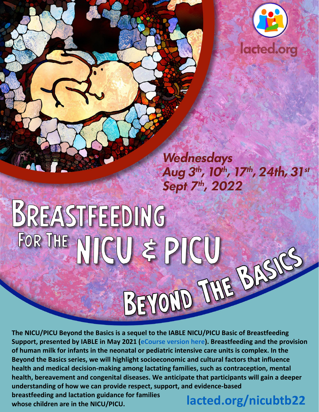

Wednesdays Aug 3<sup>th</sup>, 10<sup>th</sup>, 17<sup>th</sup>, 24th, 31st Sept 7<sup>th</sup>, 2022

# BREASTFEEDING FOR THE NUCU & PICU BEYOND JUNE BAS

**The NICU/PICU Beyond the Basics is a sequel to the IABLE NICU/PICU Basic of Breastfeeding Support, presented by IABLE in May 2021 [\(eCourse version here\)](https://lacted.org/shop/crs-nicu/). Breastfeeding and the provision of human milk for infants in the neonatal or pediatric intensive care units is complex. In the Beyond the Basics series, we will highlight socioeconomic and cultural factors that influence health and medical decision-making among lactating families, such as contraception, mental health, bereavement and congenital diseases. We anticipate that participants will gain a deeper understanding of how we can provide respect, support, and evidence-based breastfeeding and lactation guidance for families**

**whose children are in the NICU/PICU. [lacted.org/nicubtb22](https://lacted.org/shop/nicubtb22/)**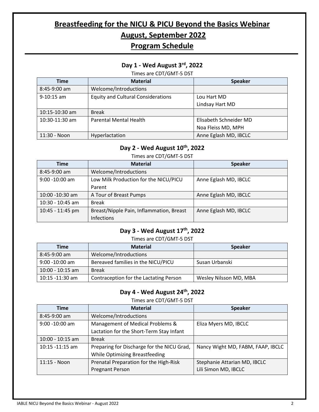# **Breastfeeding for the NICU & PICU Beyond the Basics Webinar August, September 2022**

# **Program Schedule**

# **Day 1 - Wed August 3rd, 2022**

Times are CDT/GMT-5 DST

| <b>Time</b>      | <b>Material</b>                           | <b>Speaker</b>         |
|------------------|-------------------------------------------|------------------------|
| 8:45-9:00 am     | Welcome/Introductions                     |                        |
| $9-10:15$ am     | <b>Equity and Cultural Considerations</b> | Lou Hart MD            |
|                  |                                           | Lindsay Hart MD        |
| 10:15-10:30 am   | <b>Break</b>                              |                        |
| $10:30-11:30$ am | <b>Parental Mental Health</b>             | Elisabeth Schneider MD |
|                  |                                           | Noa Fleiss MD, MPH     |
| 11:30 - Noon     | Hyperlactation                            | Anne Eglash MD, IBCLC  |

## **Day 2 - Wed August 10th, 2022**

#### Times are CDT/GMT-5 DST

| <b>Time</b>       | <b>Material</b>                          | <b>Speaker</b>        |
|-------------------|------------------------------------------|-----------------------|
| 8:45-9:00 am      | Welcome/Introductions                    |                       |
| $9:00 - 10:00$ am | Low Milk Production for the NICU/PICU    | Anne Eglash MD, IBCLC |
|                   | Parent                                   |                       |
| 10:00 -10:30 am   | A Tour of Breast Pumps                   | Anne Eglash MD, IBCLC |
| 10:30 - 10:45 am  | <b>Break</b>                             |                       |
| 10:45 - 11:45 pm  | Breast/Nipple Pain, Inflammation, Breast | Anne Eglash MD, IBCLC |
|                   | <b>Infections</b>                        |                       |

## **Day 3 - Wed August 17th, 2022**

#### Times are CDT/GMT-5 DST

| Time              | <b>Material</b>                        | <b>Speaker</b>         |
|-------------------|----------------------------------------|------------------------|
| $8:45-9:00$ am    | Welcome/Introductions                  |                        |
| $9:00 - 10:00$ am | Bereaved families in the NICU/PICU     | Susan Urbanski         |
| 10:00 - 10:15 am  | Break                                  |                        |
| 10:15 -11:30 am   | Contraception for the Lactating Person | Wesley Nilsson MD, MBA |

## **Day 4 - Wed August 24th, 2022**

Times are CDT/GMT-5 DST

| <b>Time</b>        | <b>Material</b>                            | <b>Speaker</b>                    |
|--------------------|--------------------------------------------|-----------------------------------|
| 8:45-9:00 am       | Welcome/Introductions                      |                                   |
| $9:00 - 10:00$ am  | Management of Medical Problems &           | Eliza Myers MD, IBCLC             |
|                    | Lactation for the Short-Term Stay Infant   |                                   |
| 10:00 - 10:15 am   | <b>Break</b>                               |                                   |
| $10:15 - 11:15$ am | Preparing for Discharge for the NICU Grad, | Nancy Wight MD, FABM, FAAP, IBCLC |
|                    | While Optimizing Breastfeeding             |                                   |
| $11:15 - N$ oon    | Prenatal Preparation for the High-Risk     | Stephanie Attarian MD, IBCLC      |
|                    | <b>Pregnant Person</b>                     | Lili Simon MD, IBCLC              |